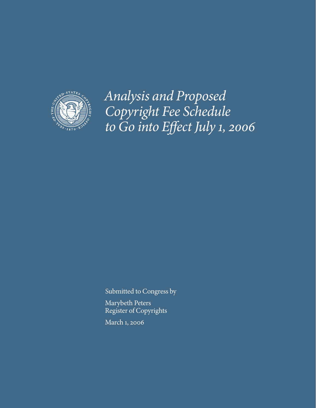

*Analysis and Proposed Copyright Fee Schedule to Go into Effect July , 2006* 

Submitted to Congress by Marybeth Peters Register of Copyrights March 1, 2006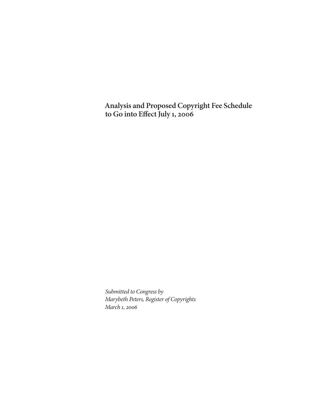**Analysis and Proposed Copyright Fee Schedule to Go into Effect July , 2006**

*Submitted to Congress by Marybeth Peters, Register of Copyrights March , 2006*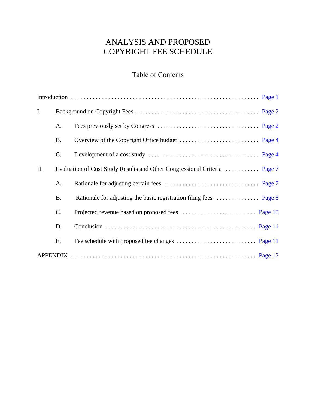# ANALYSIS AND PROPOSED COPYRIGHT FEE SCHEDULE

## Table of Contents

| Ι.  |           |                                                                           |  |
|-----|-----------|---------------------------------------------------------------------------|--|
|     | A.        |                                                                           |  |
|     | <b>B.</b> |                                                                           |  |
|     | C.        |                                                                           |  |
| II. |           | Evaluation of Cost Study Results and Other Congressional Criteria  Page 7 |  |
|     | A.        |                                                                           |  |
|     | <b>B.</b> |                                                                           |  |
|     | C.        |                                                                           |  |
|     | D.        |                                                                           |  |
|     | Ε.        |                                                                           |  |
|     |           |                                                                           |  |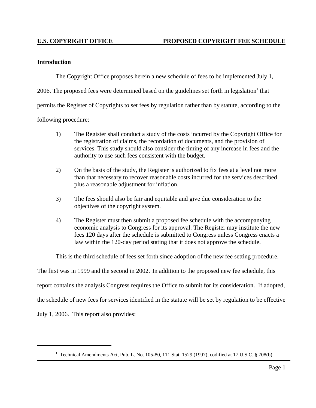### <span id="page-3-0"></span>**Introduction**

The Copyright Office proposes herein a new schedule of fees to be implemented July 1,

2006. The proposed fees were determined based on the guidelines set forth in legislation<sup>1</sup> that

permits the Register of Copyrights to set fees by regulation rather than by statute, according to the

following procedure:

- 1) The Register shall conduct a study of the costs incurred by the Copyright Office for the registration of claims, the recordation of documents, and the provision of services. This study should also consider the timing of any increase in fees and the authority to use such fees consistent with the budget.
- 2) On the basis of the study, the Register is authorized to fix fees at a level not more than that necessary to recover reasonable costs incurred for the services described plus a reasonable adjustment for inflation.
- 3) The fees should also be fair and equitable and give due consideration to the objectives of the copyright system.
- 4) The Register must then submit a proposed fee schedule with the accompanying economic analysis to Congress for its approval. The Register may institute the new fees 120 days after the schedule is submitted to Congress unless Congress enacts a law within the 120-day period stating that it does not approve the schedule.

This is the third schedule of fees set forth since adoption of the new fee setting procedure.

The first was in 1999 and the second in 2002. In addition to the proposed new fee schedule, this

report contains the analysis Congress requires the Office to submit for its consideration. If adopted,

the schedule of new fees for services identified in the statute will be set by regulation to be effective

July 1, 2006. This report also provides:

<sup>&</sup>lt;sup>1</sup> Technical Amendments Act, Pub. L. No. 105-80, 111 Stat. 1529 (1997), codified at 17 U.S.C. § 708(b).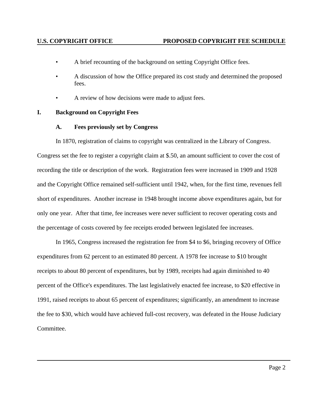- <span id="page-4-0"></span>• A brief recounting of the background on setting Copyright Office fees.
- A discussion of how the Office prepared its cost study and determined the proposed fees.
- A review of how decisions were made to adjust fees.

### **I. Background on Copyright Fees**

### **A. Fees previously set by Congress**

In 1870, registration of claims to copyright was centralized in the Library of Congress. Congress set the fee to register a copyright claim at \$.50, an amount sufficient to cover the cost of recording the title or description of the work. Registration fees were increased in 1909 and 1928 and the Copyright Office remained self-sufficient until 1942, when, for the first time, revenues fell short of expenditures. Another increase in 1948 brought income above expenditures again, but for only one year. After that time, fee increases were never sufficient to recover operating costs and the percentage of costs covered by fee receipts eroded between legislated fee increases.

In 1965, Congress increased the registration fee from \$4 to \$6, bringing recovery of Office expenditures from 62 percent to an estimated 80 percent. A 1978 fee increase to \$10 brought receipts to about 80 percent of expenditures, but by 1989, receipts had again diminished to 40 percent of the Office's expenditures. The last legislatively enacted fee increase, to \$20 effective in 1991, raised receipts to about 65 percent of expenditures; significantly, an amendment to increase the fee to \$30, which would have achieved full-cost recovery, was defeated in the House Judiciary Committee.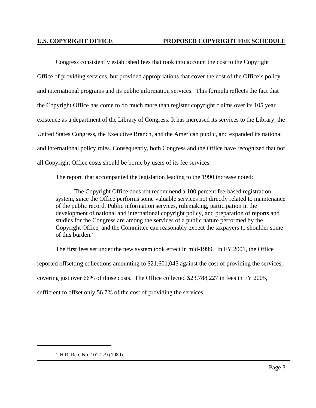Congress consistently established fees that took into account the cost to the Copyright Office of providing services, but provided appropriations that cover the cost of the Office's policy and international programs and its public information services. This formula reflects the fact that the Copyright Office has come to do much more than register copyright claims over its 105 year existence as a department of the Library of Congress. It has increased its services to the Library, the United States Congress, the Executive Branch, and the American public, and expanded its national and international policy roles. Consequently, both Congress and the Office have recognized that not all Copyright Office costs should be borne by users of its fee services.

The report that accompanied the legislation leading to the 1990 increase noted:

The Copyright Office does not recommend a 100 percent fee-based registration system, since the Office performs some valuable services not directly related to maintenance of the public record. Public information services, rulemaking, participation in the development of national and international copyright policy, and preparation of reports and studies for the Congress are among the services of a public nature performed by the Copyright Office, and the Committee can reasonably expect the taxpayers to shoulder some of this burden.<sup>2</sup>

The first fees set under the new system took effect in mid-1999. In FY 2001, the Office

reported offsetting collections amounting to \$21,601,045 against the cost of providing the services,

covering just over 66% of those costs. The Office collected \$23,788,227 in fees in FY 2005,

sufficient to offset only 56.7% of the cost of providing the services.

<sup>2</sup> H.R. Rep. No. 101-279 (1989).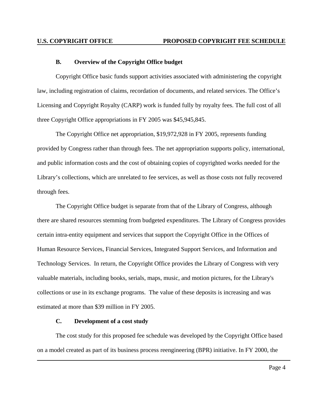#### <span id="page-6-0"></span>**B. Overview of the Copyright Office budget**

Copyright Office basic funds support activities associated with administering the copyright law, including registration of claims, recordation of documents, and related services. The Office's Licensing and Copyright Royalty (CARP) work is funded fully by royalty fees. The full cost of all three Copyright Office appropriations in FY 2005 was \$45,945,845.

The Copyright Office net appropriation, \$19,972,928 in FY 2005, represents funding provided by Congress rather than through fees. The net appropriation supports policy, international, and public information costs and the cost of obtaining copies of copyrighted works needed for the Library's collections, which are unrelated to fee services, as well as those costs not fully recovered through fees.

The Copyright Office budget is separate from that of the Library of Congress, although there are shared resources stemming from budgeted expenditures. The Library of Congress provides certain intra-entity equipment and services that support the Copyright Office in the Offices of Human Resource Services, Financial Services, Integrated Support Services, and Information and Technology Services. In return, the Copyright Office provides the Library of Congress with very valuable materials, including books, serials, maps, music, and motion pictures, for the Library's collections or use in its exchange programs. The value of these deposits is increasing and was estimated at more than \$39 million in FY 2005.

#### **C. Development of a cost study**

The cost study for this proposed fee schedule was developed by the Copyright Office based on a model created as part of its business process reengineering (BPR) initiative. In FY 2000, the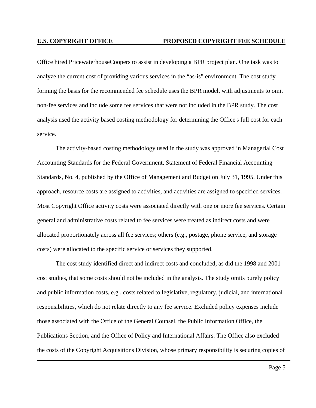Office hired PricewaterhouseCoopers to assist in developing a BPR project plan. One task was to analyze the current cost of providing various services in the "as-is" environment. The cost study forming the basis for the recommended fee schedule uses the BPR model, with adjustments to omit non-fee services and include some fee services that were not included in the BPR study. The cost analysis used the activity based costing methodology for determining the Office's full cost for each service.

The activity-based costing methodology used in the study was approved in Managerial Cost Accounting Standards for the Federal Government, Statement of Federal Financial Accounting Standards, No. 4, published by the Office of Management and Budget on July 31, 1995. Under this approach, resource costs are assigned to activities, and activities are assigned to specified services. Most Copyright Office activity costs were associated directly with one or more fee services. Certain general and administrative costs related to fee services were treated as indirect costs and were allocated proportionately across all fee services; others (e.g., postage, phone service, and storage costs) were allocated to the specific service or services they supported.

The cost study identified direct and indirect costs and concluded, as did the 1998 and 2001 cost studies, that some costs should not be included in the analysis. The study omits purely policy and public information costs, e.g., costs related to legislative, regulatory, judicial, and international responsibilities, which do not relate directly to any fee service. Excluded policy expenses include those associated with the Office of the General Counsel, the Public Information Office, the Publications Section, and the Office of Policy and International Affairs. The Office also excluded the costs of the Copyright Acquisitions Division, whose primary responsibility is securing copies of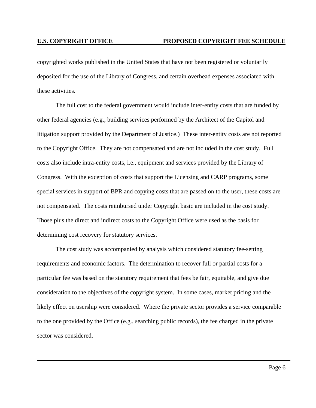copyrighted works published in the United States that have not been registered or voluntarily deposited for the use of the Library of Congress, and certain overhead expenses associated with these activities.

The full cost to the federal government would include inter-entity costs that are funded by other federal agencies (e.g., building services performed by the Architect of the Capitol and litigation support provided by the Department of Justice.) These inter-entity costs are not reported to the Copyright Office. They are not compensated and are not included in the cost study. Full costs also include intra-entity costs, i.e., equipment and services provided by the Library of Congress. With the exception of costs that support the Licensing and CARP programs, some special services in support of BPR and copying costs that are passed on to the user, these costs are not compensated. The costs reimbursed under Copyright basic are included in the cost study. Those plus the direct and indirect costs to the Copyright Office were used as the basis for determining cost recovery for statutory services.

The cost study was accompanied by analysis which considered statutory fee-setting requirements and economic factors. The determination to recover full or partial costs for a particular fee was based on the statutory requirement that fees be fair, equitable, and give due consideration to the objectives of the copyright system. In some cases, market pricing and the likely effect on usership were considered. Where the private sector provides a service comparable to the one provided by the Office (e.g., searching public records), the fee charged in the private sector was considered.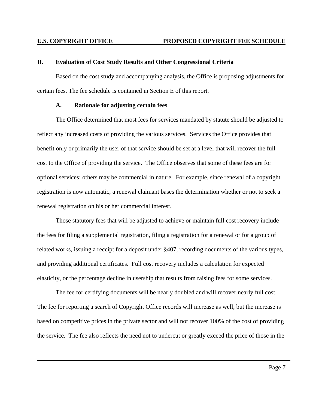#### <span id="page-9-0"></span>**II. Evaluation of Cost Study Results and Other Congressional Criteria**

Based on the cost study and accompanying analysis, the Office is proposing adjustments for certain fees. The fee schedule is contained in Section E of this report.

#### **A. Rationale for adjusting certain fees**

The Office determined that most fees for services mandated by statute should be adjusted to reflect any increased costs of providing the various services. Services the Office provides that benefit only or primarily the user of that service should be set at a level that will recover the full cost to the Office of providing the service. The Office observes that some of these fees are for optional services; others may be commercial in nature. For example, since renewal of a copyright registration is now automatic, a renewal claimant bases the determination whether or not to seek a renewal registration on his or her commercial interest.

Those statutory fees that will be adjusted to achieve or maintain full cost recovery include the fees for filing a supplemental registration, filing a registration for a renewal or for a group of related works, issuing a receipt for a deposit under §407, recording documents of the various types, and providing additional certificates. Full cost recovery includes a calculation for expected elasticity, or the percentage decline in usership that results from raising fees for some services.

The fee for certifying documents will be nearly doubled and will recover nearly full cost. The fee for reporting a search of Copyright Office records will increase as well, but the increase is based on competitive prices in the private sector and will not recover 100% of the cost of providing the service. The fee also reflects the need not to undercut or greatly exceed the price of those in the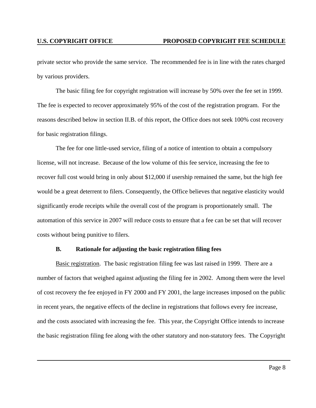<span id="page-10-0"></span>private sector who provide the same service. The recommended fee is in line with the rates charged by various providers.

The basic filing fee for copyright registration will increase by 50% over the fee set in 1999. The fee is expected to recover approximately 95% of the cost of the registration program. For the reasons described below in section II.B. of this report, the Office does not seek 100% cost recovery for basic registration filings.

The fee for one little-used service, filing of a notice of intention to obtain a compulsory license, will not increase. Because of the low volume of this fee service, increasing the fee to recover full cost would bring in only about \$12,000 if usership remained the same, but the high fee would be a great deterrent to filers. Consequently, the Office believes that negative elasticity would significantly erode receipts while the overall cost of the program is proportionately small. The automation of this service in 2007 will reduce costs to ensure that a fee can be set that will recover costs without being punitive to filers.

#### **B. Rationale for adjusting the basic registration filing fees**

Basic registration. The basic registration filing fee was last raised in 1999. There are a number of factors that weighed against adjusting the filing fee in 2002. Among them were the level of cost recovery the fee enjoyed in FY 2000 and FY 2001, the large increases imposed on the public in recent years, the negative effects of the decline in registrations that follows every fee increase, and the costs associated with increasing the fee. This year, the Copyright Office intends to increase the basic registration filing fee along with the other statutory and non-statutory fees. The Copyright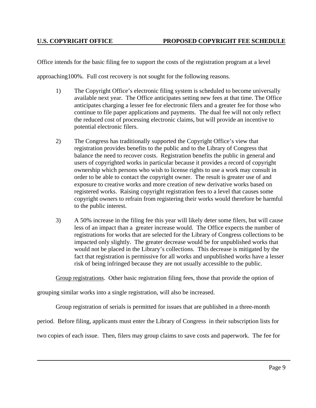Office intends for the basic filing fee to support the costs of the registration program at a level

approaching100%. Full cost recovery is not sought for the following reasons.

- 1) The Copyright Office's electronic filing system is scheduled to become universally available next year. The Office anticipates setting new fees at that time. The Office anticipates charging a lesser fee for electronic filers and a greater fee for those who continue to file paper applications and payments. The dual fee will not only reflect the reduced cost of processing electronic claims, but will provide an incentive to potential electronic filers.
- 2) The Congress has traditionally supported the Copyright Office's view that registration provides benefits to the public and to the Library of Congress that balance the need to recover costs. Registration benefits the public in general and users of copyrighted works in particular because it provides a record of copyright ownership which persons who wish to license rights to use a work may consult in order to be able to contact the copyright owner. The result is greater use of and exposure to creative works and more creation of new derivative works based on registered works. Raising copyright registration fees to a level that causes some copyright owners to refrain from registering their works would therefore be harmful to the public interest.
- 3) A 50% increase in the filing fee this year will likely deter some filers, but will cause less of an impact than a greater increase would. The Office expects the number of registrations for works that are selected for the Library of Congress collections to be impacted only slightly. The greater decrease would be for unpublished works that would not be placed in the Library's collections. This decrease is mitigated by the fact that registration is permissive for all works and unpublished works have a lesser risk of being infringed because they are not usually accessible to the public.

Group registrations. Other basic registration filing fees, those that provide the option of

grouping similar works into a single registration, will also be increased.

Group registration of serials is permitted for issues that are published in a three-month

period. Before filing, applicants must enter the Library of Congress in their subscription lists for

two copies of each issue. Then, filers may group claims to save costs and paperwork. The fee for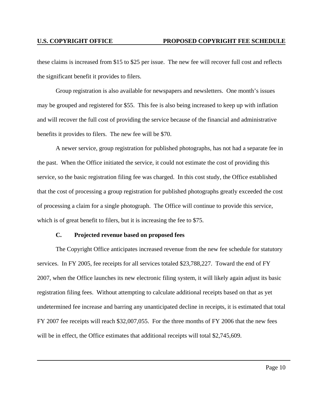these claims is increased from \$15 to \$25 per issue. The new fee will recover full cost and reflects the significant benefit it provides to filers.

Group registration is also available for newspapers and newsletters. One month's issues may be grouped and registered for \$55. This fee is also being increased to keep up with inflation and will recover the full cost of providing the service because of the financial and administrative benefits it provides to filers. The new fee will be \$70.

A newer service, group registration for published photographs, has not had a separate fee in the past. When the Office initiated the service, it could not estimate the cost of providing this service, so the basic registration filing fee was charged. In this cost study, the Office established that the cost of processing a group registration for published photographs greatly exceeded the cost of processing a claim for a single photograph. The Office will continue to provide this service, which is of great benefit to filers, but it is increasing the fee to \$75.

#### **C. Projected revenue based on proposed fees**

The Copyright Office anticipates increased revenue from the new fee schedule for statutory services. In FY 2005, fee receipts for all services totaled \$23,788,227. Toward the end of FY 2007, when the Office launches its new electronic filing system, it will likely again adjust its basic registration filing fees. Without attempting to calculate additional receipts based on that as yet undetermined fee increase and barring any unanticipated decline in receipts, it is estimated that total FY 2007 fee receipts will reach \$32,007,055. For the three months of FY 2006 that the new fees will be in effect, the Office estimates that additional receipts will total \$2,745,609.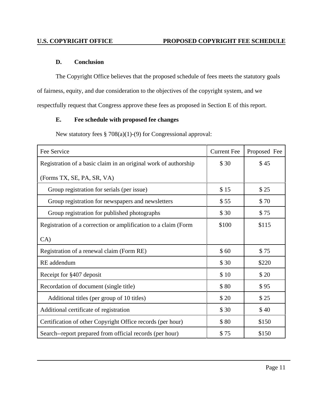### <span id="page-13-0"></span>**D. Conclusion**

The Copyright Office believes that the proposed schedule of fees meets the statutory goals of fairness, equity, and due consideration to the objectives of the copyright system, and we respectfully request that Congress approve these fees as proposed in Section E of this report.

### **E. Fee schedule with proposed fee changes**

New statutory fees § 708(a)(1)-(9) for Congressional approval:

| Fee Service                                                     | <b>Current Fee</b> | Proposed Fee |
|-----------------------------------------------------------------|--------------------|--------------|
| Registration of a basic claim in an original work of authorship | \$30               | \$45         |
| (Forms TX, SE, PA, SR, VA)                                      |                    |              |
| Group registration for serials (per issue)                      | \$15               | \$25         |
| Group registration for newspapers and newsletters               | \$55               | \$70         |
| Group registration for published photographs                    | \$30               | \$75         |
| Registration of a correction or amplification to a claim (Form  | \$100              | \$115        |
| CA)                                                             |                    |              |
| Registration of a renewal claim (Form RE)                       | \$60               | \$75         |
| RE addendum                                                     | \$30               | \$220        |
| Receipt for §407 deposit                                        | \$10               | \$20         |
| Recordation of document (single title)                          | \$80               | \$95         |
| Additional titles (per group of 10 titles)                      | \$20               | \$25         |
| Additional certificate of registration                          | \$30               | \$40         |
| Certification of other Copyright Office records (per hour)      | \$80               | \$150        |
| Search--report prepared from official records (per hour)        | \$75               | \$150        |